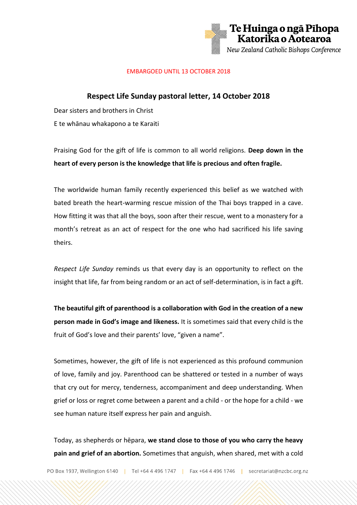

## EMBARGOED UNTIL 13 OCTOBER 2018

## **Respect Life Sunday pastoral letter, 14 October 2018**

Dear sisters and brothers in Christ E te whānau whakapono a te Karaiti

Praising God for the gift of life is common to all world religions. **Deep down in the heart of every person is the knowledge that life is precious and often fragile.**

The worldwide human family recently experienced this belief as we watched with bated breath the heart-warming rescue mission of the Thai boys trapped in a cave. How fitting it was that all the boys, soon after their rescue, went to a monastery for a month's retreat as an act of respect for the one who had sacrificed his life saving theirs.

*Respect Life Sunday* reminds us that every day is an opportunity to reflect on the insight that life, far from being random or an act of self-determination, is in fact a gift.

**The beautiful gift of parenthood is a collaboration with God in the creation of a new person made in God's image and likeness.** It is sometimes said that every child is the fruit of God's love and their parents' love, "given a name".

Sometimes, however, the gift of life is not experienced as this profound communion of love, family and joy. Parenthood can be shattered or tested in a number of ways that cry out for mercy, tenderness, accompaniment and deep understanding. When grief or loss or regret come between a parent and a child - or the hope for a child - we see human nature itself express her pain and anguish.

Today, as shepherds or hēpara, **we stand close to those of you who carry the heavy pain and grief of an abortion.** Sometimes that anguish, when shared, met with a cold